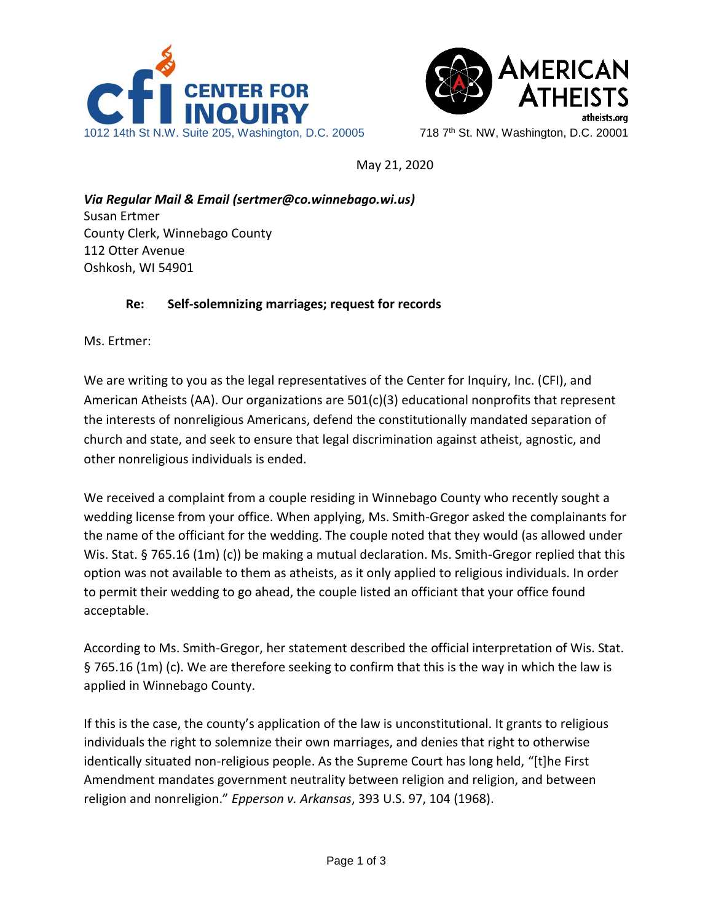



May 21, 2020

*Via Regular Mail & Email (sertmer@co.winnebago.wi.us)* Susan Ertmer County Clerk, Winnebago County 112 Otter Avenue Oshkosh, WI 54901

## **Re: Self-solemnizing marriages; request for records**

Ms. Ertmer:

We are writing to you as the legal representatives of the Center for Inquiry, Inc. (CFI), and American Atheists (AA). Our organizations are 501(c)(3) educational nonprofits that represent the interests of nonreligious Americans, defend the constitutionally mandated separation of church and state, and seek to ensure that legal discrimination against atheist, agnostic, and other nonreligious individuals is ended.

We received a complaint from a couple residing in Winnebago County who recently sought a wedding license from your office. When applying, Ms. Smith-Gregor asked the complainants for the name of the officiant for the wedding. The couple noted that they would (as allowed under Wis. Stat. § 765.16 (1m) (c)) be making a mutual declaration. Ms. Smith-Gregor replied that this option was not available to them as atheists, as it only applied to religious individuals. In order to permit their wedding to go ahead, the couple listed an officiant that your office found acceptable.

According to Ms. Smith-Gregor, her statement described the official interpretation of Wis. Stat. § 765.16 (1m) (c). We are therefore seeking to confirm that this is the way in which the law is applied in Winnebago County.

If this is the case, the county's application of the law is unconstitutional. It grants to religious individuals the right to solemnize their own marriages, and denies that right to otherwise identically situated non-religious people. As the Supreme Court has long held, "[t]he First Amendment mandates government neutrality between religion and religion, and between religion and nonreligion." *Epperson v. Arkansas*, 393 U.S. 97, 104 (1968).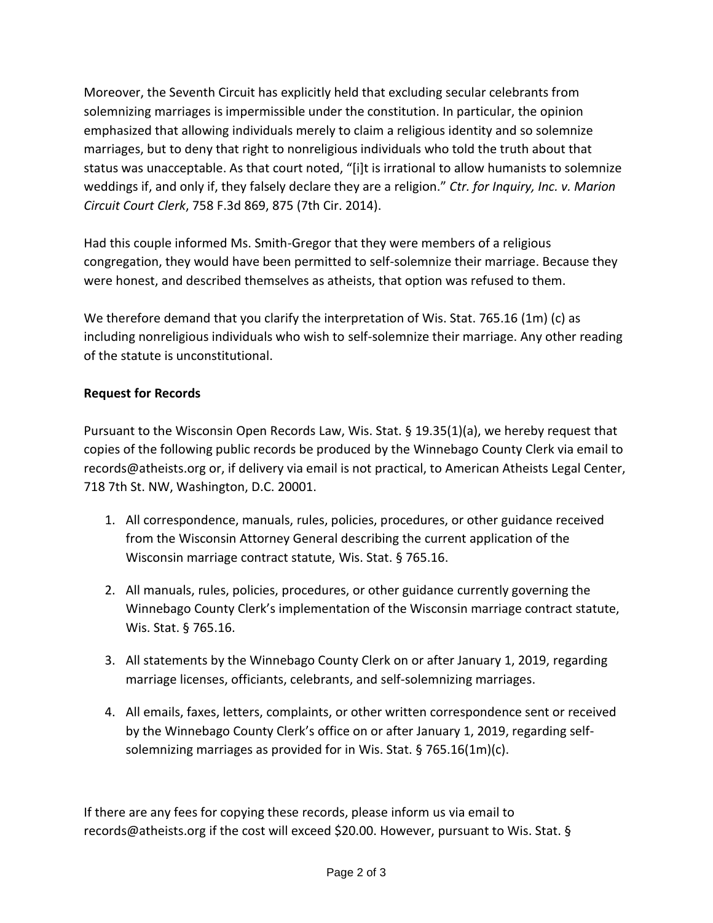Moreover, the Seventh Circuit has explicitly held that excluding secular celebrants from solemnizing marriages is impermissible under the constitution. In particular, the opinion emphasized that allowing individuals merely to claim a religious identity and so solemnize marriages, but to deny that right to nonreligious individuals who told the truth about that status was unacceptable. As that court noted, "[i]t is irrational to allow humanists to solemnize weddings if, and only if, they falsely declare they are a religion." *Ctr. for Inquiry, Inc. v. Marion Circuit Court Clerk*, 758 F.3d 869, 875 (7th Cir. 2014).

Had this couple informed Ms. Smith-Gregor that they were members of a religious congregation, they would have been permitted to self-solemnize their marriage. Because they were honest, and described themselves as atheists, that option was refused to them.

We therefore demand that you clarify the interpretation of Wis. Stat. 765.16 (1m) (c) as including nonreligious individuals who wish to self-solemnize their marriage. Any other reading of the statute is unconstitutional.

## **Request for Records**

Pursuant to the Wisconsin Open Records Law, Wis. Stat. § 19.35(1)(a), we hereby request that copies of the following public records be produced by the Winnebago County Clerk via email to records@atheists.org or, if delivery via email is not practical, to American Atheists Legal Center, 718 7th St. NW, Washington, D.C. 20001.

- 1. All correspondence, manuals, rules, policies, procedures, or other guidance received from the Wisconsin Attorney General describing the current application of the Wisconsin marriage contract statute, Wis. Stat. § 765.16.
- 2. All manuals, rules, policies, procedures, or other guidance currently governing the Winnebago County Clerk's implementation of the Wisconsin marriage contract statute, Wis. Stat. § 765.16.
- 3. All statements by the Winnebago County Clerk on or after January 1, 2019, regarding marriage licenses, officiants, celebrants, and self-solemnizing marriages.
- 4. All emails, faxes, letters, complaints, or other written correspondence sent or received by the Winnebago County Clerk's office on or after January 1, 2019, regarding selfsolemnizing marriages as provided for in Wis. Stat. § 765.16(1m)(c).

If there are any fees for copying these records, please inform us via email to records@atheists.org if the cost will exceed \$20.00. However, pursuant to Wis. Stat. §